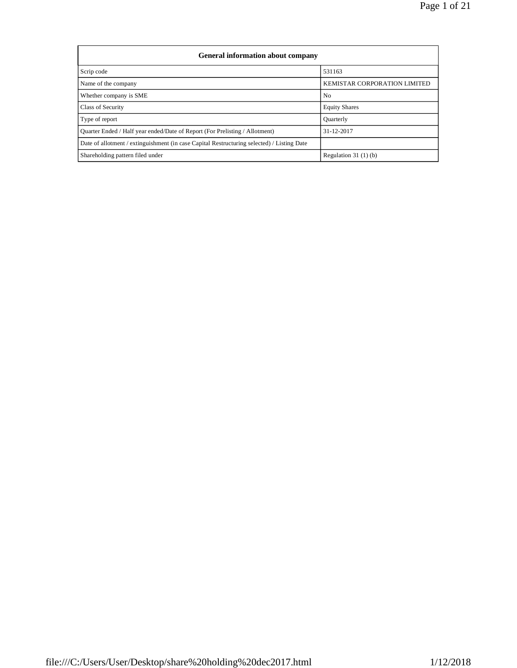| General information about company                                                          |                                     |  |  |  |  |  |  |  |  |
|--------------------------------------------------------------------------------------------|-------------------------------------|--|--|--|--|--|--|--|--|
| Scrip code                                                                                 | 531163                              |  |  |  |  |  |  |  |  |
| Name of the company                                                                        | <b>KEMISTAR CORPORATION LIMITED</b> |  |  |  |  |  |  |  |  |
| Whether company is SME                                                                     | N <sub>0</sub>                      |  |  |  |  |  |  |  |  |
| Class of Security                                                                          | <b>Equity Shares</b>                |  |  |  |  |  |  |  |  |
| Type of report                                                                             | Quarterly                           |  |  |  |  |  |  |  |  |
| Ouarter Ended / Half year ended/Date of Report (For Prelisting / Allotment)                | 31-12-2017                          |  |  |  |  |  |  |  |  |
| Date of allotment / extinguishment (in case Capital Restructuring selected) / Listing Date |                                     |  |  |  |  |  |  |  |  |
| Shareholding pattern filed under                                                           | Regulation $31(1)(b)$               |  |  |  |  |  |  |  |  |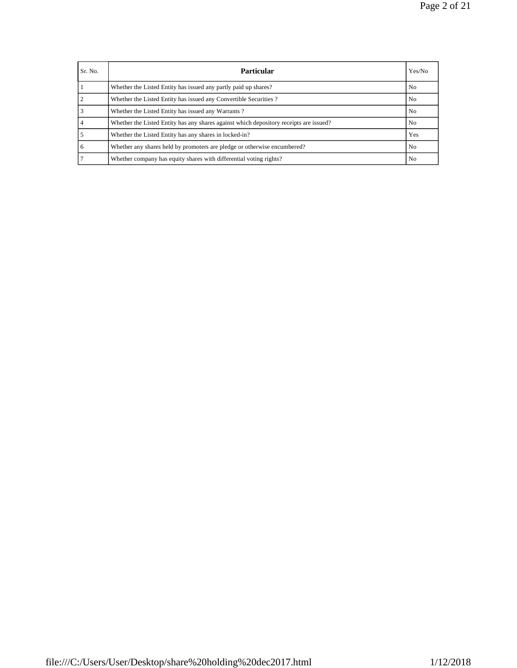| Sr. No.        | <b>Particular</b>                                                                      | Yes/No |
|----------------|----------------------------------------------------------------------------------------|--------|
|                | Whether the Listed Entity has issued any partly paid up shares?                        | No     |
| $\overline{c}$ | Whether the Listed Entity has issued any Convertible Securities?                       | No     |
|                | Whether the Listed Entity has issued any Warrants?                                     | No.    |
| $\overline{4}$ | Whether the Listed Entity has any shares against which depository receipts are issued? | No     |
| 5              | Whether the Listed Entity has any shares in locked-in?                                 | Yes    |
| 6              | Whether any shares held by promoters are pledge or otherwise encumbered?               | No     |
|                | Whether company has equity shares with differential voting rights?                     | No.    |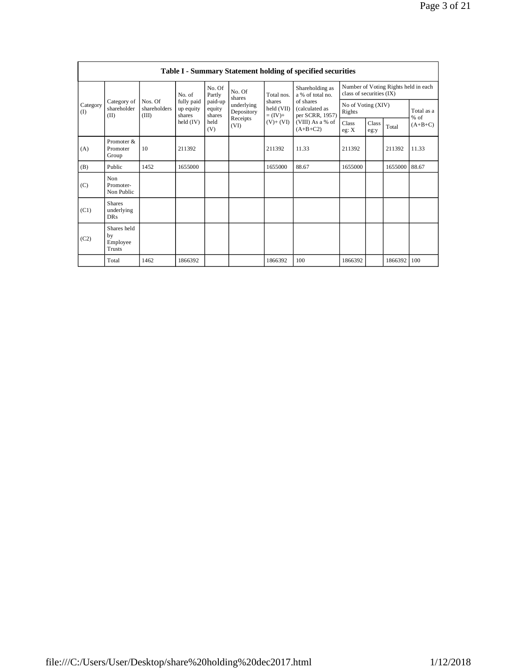|                 | Table I - Summary Statement holding of specified securities |                                  |                                   |                             |                          |                                  |                                                |                                                                  |                    |         |                      |  |  |
|-----------------|-------------------------------------------------------------|----------------------------------|-----------------------------------|-----------------------------|--------------------------|----------------------------------|------------------------------------------------|------------------------------------------------------------------|--------------------|---------|----------------------|--|--|
|                 |                                                             |                                  | No. of                            | No. Of<br>Partly            | No. Of<br>shares         | Total nos.                       | Shareholding as<br>a % of total no.            | Number of Voting Rights held in each<br>class of securities (IX) |                    |         |                      |  |  |
| Category<br>(I) | Category of<br>shareholder<br>(II)                          | Nos. Of<br>shareholders<br>(III) | fully paid<br>up equity<br>shares | paid-up<br>equity<br>shares | underlying<br>Depository | shares<br>held (VII)<br>$=(IV)+$ | of shares<br>(calculated as<br>per SCRR, 1957) | Rights                                                           | No of Voting (XIV) |         | Total as a<br>$%$ of |  |  |
|                 |                                                             |                                  | $\text{held (IV)}$                | held<br>(V)                 | Receipts<br>(VI)         | $(V) + (VI)$                     | (VIII) As a % of<br>$(A+B+C2)$                 | Class<br>eg: X                                                   | Class<br>eg:y      | Total   | $(A+B+C)$            |  |  |
| (A)             | Promoter &<br>Promoter<br>Group                             | 10                               | 211392                            |                             |                          | 211392                           | 11.33                                          | 211392                                                           |                    | 211392  | 11.33                |  |  |
| (B)             | Public                                                      | 1452                             | 1655000                           |                             |                          | 1655000                          | 88.67                                          | 1655000                                                          |                    | 1655000 | 88.67                |  |  |
| (C)             | Non<br>Promoter-<br>Non Public                              |                                  |                                   |                             |                          |                                  |                                                |                                                                  |                    |         |                      |  |  |
| (C1)            | <b>Shares</b><br>underlying<br>DR <sub>S</sub>              |                                  |                                   |                             |                          |                                  |                                                |                                                                  |                    |         |                      |  |  |
| (C2)            | Shares held<br>by<br>Employee<br><b>Trusts</b>              |                                  |                                   |                             |                          |                                  |                                                |                                                                  |                    |         |                      |  |  |
|                 | Total                                                       | 1462                             | 1866392                           |                             |                          | 1866392                          | 100                                            | 1866392                                                          |                    | 1866392 | 100                  |  |  |

 $\mathbf{I}$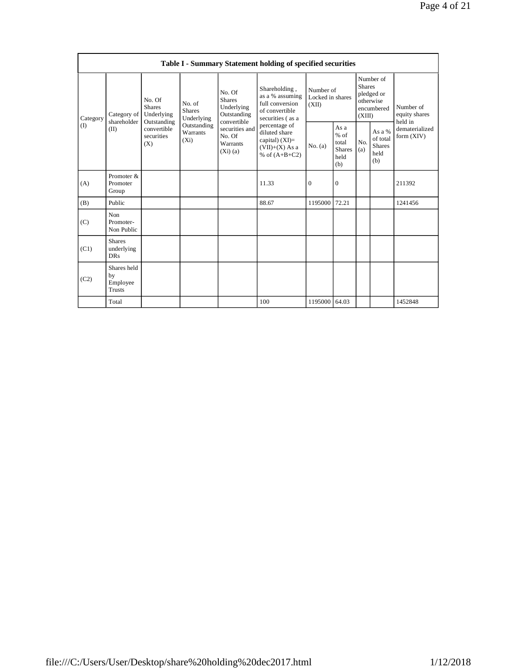|                 | Table I - Summary Statement holding of specified securities |                                                 |                                       |                                                                     |                                                                                           |                                        |                                                         |                                                                               |                                                    |                                       |  |  |
|-----------------|-------------------------------------------------------------|-------------------------------------------------|---------------------------------------|---------------------------------------------------------------------|-------------------------------------------------------------------------------------------|----------------------------------------|---------------------------------------------------------|-------------------------------------------------------------------------------|----------------------------------------------------|---------------------------------------|--|--|
| Category<br>(1) | Category of<br>shareholder<br>(II)                          | No. Of<br><b>Shares</b><br>Underlying           | No. of<br><b>Shares</b><br>Underlying | No. Of<br><b>Shares</b><br>Underlying<br>Outstanding<br>convertible | Shareholding,<br>as a % assuming<br>full conversion<br>of convertible<br>securities (as a | Number of<br>Locked in shares<br>(XII) |                                                         | Number of<br><b>Shares</b><br>pledged or<br>otherwise<br>encumbered<br>(XIII) |                                                    | Number of<br>equity shares<br>held in |  |  |
|                 |                                                             | Outstanding<br>convertible<br>securities<br>(X) | Outstanding<br>Warrants<br>$(X_i)$    | securities and<br>No. Of<br><b>Warrants</b><br>$(Xi)$ (a)           | percentage of<br>diluted share<br>capital) $(XI)=$<br>$(VII)+(X)$ As a<br>% of $(A+B+C2)$ | No. (a)                                | As a<br>$%$ of<br>total<br><b>Shares</b><br>held<br>(b) | N <sub>0</sub><br>(a)                                                         | As a %<br>of total<br><b>Shares</b><br>held<br>(b) | dematerialized<br>form (XIV)          |  |  |
| (A)             | Promoter &<br>Promoter<br>Group                             |                                                 |                                       |                                                                     | 11.33                                                                                     | $\mathbf{0}$                           | $\mathbf{0}$                                            |                                                                               |                                                    | 211392                                |  |  |
| (B)             | Public                                                      |                                                 |                                       |                                                                     | 88.67                                                                                     | 1195000                                | 72.21                                                   |                                                                               |                                                    | 1241456                               |  |  |
| (C)             | Non<br>Promoter-<br>Non Public                              |                                                 |                                       |                                                                     |                                                                                           |                                        |                                                         |                                                                               |                                                    |                                       |  |  |
| (C1)            | <b>Shares</b><br>underlying<br><b>DRs</b>                   |                                                 |                                       |                                                                     |                                                                                           |                                        |                                                         |                                                                               |                                                    |                                       |  |  |
| (C2)            | Shares held<br>by<br>Employee<br><b>Trusts</b>              |                                                 |                                       |                                                                     |                                                                                           |                                        |                                                         |                                                                               |                                                    |                                       |  |  |
|                 | Total                                                       |                                                 |                                       |                                                                     | 100                                                                                       | 1195000 64.03                          |                                                         |                                                                               |                                                    | 1452848                               |  |  |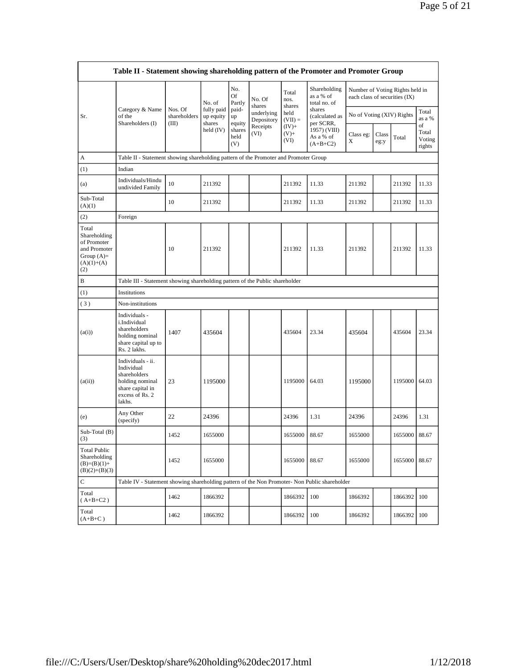| Table II - Statement showing shareholding pattern of the Promoter and Promoter Group        |                                                                                                                     |                         |                         |                                 |                                              |                            |                                                      |                               |               |                                 |                                 |  |
|---------------------------------------------------------------------------------------------|---------------------------------------------------------------------------------------------------------------------|-------------------------|-------------------------|---------------------------------|----------------------------------------------|----------------------------|------------------------------------------------------|-------------------------------|---------------|---------------------------------|---------------------------------|--|
|                                                                                             |                                                                                                                     |                         | No. of                  | No.<br>Of<br>Partly             | No. Of<br>shares                             | Total<br>nos.<br>shares    | Shareholding<br>as a % of<br>total no. of            | each class of securities (IX) |               | Number of Voting Rights held in |                                 |  |
| Sr.                                                                                         | Category & Name<br>of the                                                                                           | Nos. Of<br>shareholders | fully paid<br>up equity | paid-<br>up                     | underlying<br>Depository<br>Receipts<br>(VI) | held<br>$(VII) =$          | shares<br>(calculated as                             | No of Voting (XIV) Rights     |               |                                 | Total<br>as a %                 |  |
|                                                                                             | Shareholders (I)                                                                                                    | (III)                   | shares<br>held $(IV)$   | equity<br>shares<br>held<br>(V) |                                              | $(IV)+$<br>$(V)$ +<br>(VI) | per SCRR,<br>1957) (VIII)<br>As a % of<br>$(A+B+C2)$ | Class eg:<br>X                | Class<br>eg:y | Total                           | οf<br>Total<br>Voting<br>rights |  |
| A                                                                                           | Table II - Statement showing shareholding pattern of the Promoter and Promoter Group                                |                         |                         |                                 |                                              |                            |                                                      |                               |               |                                 |                                 |  |
| (1)                                                                                         | Indian                                                                                                              |                         |                         |                                 |                                              |                            |                                                      |                               |               |                                 |                                 |  |
| (a)                                                                                         | Individuals/Hindu<br>undivided Family                                                                               | 10                      | 211392                  |                                 |                                              | 211392                     | 11.33                                                | 211392                        |               | 211392                          | 11.33                           |  |
| Sub-Total<br>(A)(1)                                                                         |                                                                                                                     | 10                      | 211392                  |                                 |                                              | 211392                     | 11.33                                                | 211392                        |               | 211392                          | 11.33                           |  |
| (2)                                                                                         | Foreign                                                                                                             |                         |                         |                                 |                                              |                            |                                                      |                               |               |                                 |                                 |  |
| Total<br>Shareholding<br>of Promoter<br>and Promoter<br>Group $(A)=$<br>$(A)(1)+(A)$<br>(2) |                                                                                                                     | 10                      | 211392                  |                                 |                                              | 211392                     | 11.33                                                | 211392                        |               | 211392                          | 11.33                           |  |
| B                                                                                           | Table III - Statement showing shareholding pattern of the Public shareholder                                        |                         |                         |                                 |                                              |                            |                                                      |                               |               |                                 |                                 |  |
| (1)                                                                                         | Institutions                                                                                                        |                         |                         |                                 |                                              |                            |                                                      |                               |               |                                 |                                 |  |
| (3)                                                                                         | Non-institutions                                                                                                    |                         |                         |                                 |                                              |                            |                                                      |                               |               |                                 |                                 |  |
| (a(i))                                                                                      | Individuals -<br>i.Individual<br>shareholders<br>holding nominal<br>share capital up to<br>Rs. 2 lakhs.             | 1407                    | 435604                  |                                 |                                              | 435604                     | 23.34                                                | 435604                        |               | 435604                          | 23.34                           |  |
| (a(ii))                                                                                     | Individuals - ii.<br>Individual<br>shareholders<br>holding nominal<br>share capital in<br>excess of Rs. 2<br>lakhs. | 23                      | 1195000                 |                                 |                                              | 1195000                    | 64.03                                                | 1195000                       |               | 1195000                         | 64.03                           |  |
| (e)                                                                                         | Any Other<br>(specify)                                                                                              | 22                      | 24396                   |                                 |                                              | 24396                      | 1.31                                                 | 24396                         |               | 24396                           | 1.31                            |  |
| Sub-Total (B)<br>(3)                                                                        |                                                                                                                     | 1452                    | 1655000                 |                                 |                                              | 1655000                    | 88.67                                                | 1655000                       |               | 1655000                         | 88.67                           |  |
| <b>Total Public</b><br>Shareholding<br>$(B)=(B)(1)+$<br>$(B)(2)+(B)(3)$                     |                                                                                                                     | 1452                    | 1655000                 |                                 |                                              | 1655000                    | 88.67                                                | 1655000                       |               | 1655000                         | 88.67                           |  |
| C                                                                                           | Table IV - Statement showing shareholding pattern of the Non Promoter- Non Public shareholder                       |                         |                         |                                 |                                              |                            |                                                      |                               |               |                                 |                                 |  |
| Total<br>$(A+B+C2)$                                                                         |                                                                                                                     | 1462                    | 1866392                 |                                 |                                              | 1866392                    | 100                                                  | 1866392                       |               | 1866392                         | 100                             |  |
| Total<br>$(A+B+C)$                                                                          |                                                                                                                     | 1462                    | 1866392                 |                                 |                                              | 1866392                    | 100                                                  | 1866392                       |               | 1866392                         | 100                             |  |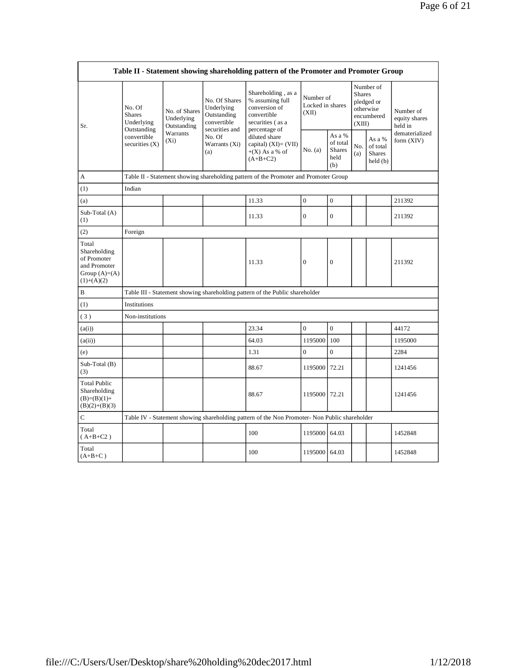| Table II - Statement showing shareholding pattern of the Promoter and Promoter Group    |                                                                                      |                                            |                                                                                                               |                                                                                                                                                                                          |                                        |                                                    |                                                                               |                                                 |                                       |  |  |
|-----------------------------------------------------------------------------------------|--------------------------------------------------------------------------------------|--------------------------------------------|---------------------------------------------------------------------------------------------------------------|------------------------------------------------------------------------------------------------------------------------------------------------------------------------------------------|----------------------------------------|----------------------------------------------------|-------------------------------------------------------------------------------|-------------------------------------------------|---------------------------------------|--|--|
| Sr.                                                                                     | No. Of<br><b>Shares</b><br>Underlying                                                | No. of Shares<br>Underlying<br>Outstanding | No. Of Shares<br>Underlying<br>Outstanding<br>convertible<br>securities and<br>No. Of<br>Warrants (Xi)<br>(a) | Shareholding, as a<br>% assuming full<br>conversion of<br>convertible<br>securities (as a<br>percentage of<br>diluted share<br>capital) $(XI) = (VII)$<br>$+(X)$ As a % of<br>$(A+B+C2)$ | Number of<br>Locked in shares<br>(XII) |                                                    | Number of<br><b>Shares</b><br>pledged or<br>otherwise<br>encumbered<br>(XIII) |                                                 | Number of<br>equity shares<br>held in |  |  |
|                                                                                         | Outstanding<br>convertible<br>securities $(X)$                                       | Warrants<br>$(X_i)$                        |                                                                                                               |                                                                                                                                                                                          | No. (a)                                | As a %<br>of total<br><b>Shares</b><br>held<br>(b) | No.<br>(a)                                                                    | As a %<br>of total<br><b>Shares</b><br>held (b) | dematerialized<br>form $(XIV)$        |  |  |
| А                                                                                       | Table II - Statement showing shareholding pattern of the Promoter and Promoter Group |                                            |                                                                                                               |                                                                                                                                                                                          |                                        |                                                    |                                                                               |                                                 |                                       |  |  |
| (1)                                                                                     | Indian                                                                               |                                            |                                                                                                               |                                                                                                                                                                                          |                                        |                                                    |                                                                               |                                                 |                                       |  |  |
| (a)                                                                                     |                                                                                      |                                            |                                                                                                               | 11.33                                                                                                                                                                                    | $\boldsymbol{0}$                       | $\boldsymbol{0}$                                   |                                                                               |                                                 | 211392                                |  |  |
| Sub-Total (A)<br>(1)                                                                    |                                                                                      |                                            |                                                                                                               | 11.33                                                                                                                                                                                    | $\overline{0}$                         | $\mathbf{0}$                                       |                                                                               |                                                 | 211392                                |  |  |
| (2)                                                                                     | Foreign                                                                              |                                            |                                                                                                               |                                                                                                                                                                                          |                                        |                                                    |                                                                               |                                                 |                                       |  |  |
| Total<br>Shareholding<br>of Promoter<br>and Promoter<br>Group $(A)=(A)$<br>$(1)+(A)(2)$ |                                                                                      |                                            |                                                                                                               | 11.33                                                                                                                                                                                    | $\mathbf{0}$                           | $\boldsymbol{0}$                                   |                                                                               |                                                 | 211392                                |  |  |
| B                                                                                       |                                                                                      |                                            |                                                                                                               | Table III - Statement showing shareholding pattern of the Public shareholder                                                                                                             |                                        |                                                    |                                                                               |                                                 |                                       |  |  |
| (1)                                                                                     | Institutions                                                                         |                                            |                                                                                                               |                                                                                                                                                                                          |                                        |                                                    |                                                                               |                                                 |                                       |  |  |
| (3)                                                                                     | Non-institutions                                                                     |                                            |                                                                                                               |                                                                                                                                                                                          |                                        |                                                    |                                                                               |                                                 |                                       |  |  |
| (a(i))                                                                                  |                                                                                      |                                            |                                                                                                               | 23.34                                                                                                                                                                                    | $\mathbf{0}$                           | $\mathbf{0}$                                       |                                                                               |                                                 | 44172                                 |  |  |
| (a(ii))                                                                                 |                                                                                      |                                            |                                                                                                               | 64.03                                                                                                                                                                                    | 1195000                                | 100                                                |                                                                               |                                                 | 1195000                               |  |  |
| (e)                                                                                     |                                                                                      |                                            |                                                                                                               | 1.31                                                                                                                                                                                     | $\mathbf{0}$                           | $\boldsymbol{0}$                                   |                                                                               |                                                 | 2284                                  |  |  |
| Sub-Total (B)<br>(3)                                                                    |                                                                                      |                                            |                                                                                                               | 88.67                                                                                                                                                                                    | 1195000 72.21                          |                                                    |                                                                               |                                                 | 1241456                               |  |  |
| <b>Total Public</b><br>Shareholding<br>$(B)=(B)(1)+$<br>$(B)(2)+(B)(3)$                 |                                                                                      |                                            |                                                                                                               | 88.67                                                                                                                                                                                    | 1195000                                | 72.21                                              |                                                                               |                                                 | 1241456                               |  |  |
| C                                                                                       |                                                                                      |                                            |                                                                                                               | Table IV - Statement showing shareholding pattern of the Non Promoter- Non Public shareholder                                                                                            |                                        |                                                    |                                                                               |                                                 |                                       |  |  |
| Total<br>$(A+B+C2)$                                                                     |                                                                                      |                                            |                                                                                                               | 100                                                                                                                                                                                      | 1195000                                | 64.03                                              |                                                                               |                                                 | 1452848                               |  |  |
| Total<br>$(A+B+C)$                                                                      |                                                                                      |                                            |                                                                                                               | 100                                                                                                                                                                                      | 1195000                                | 64.03                                              |                                                                               |                                                 | 1452848                               |  |  |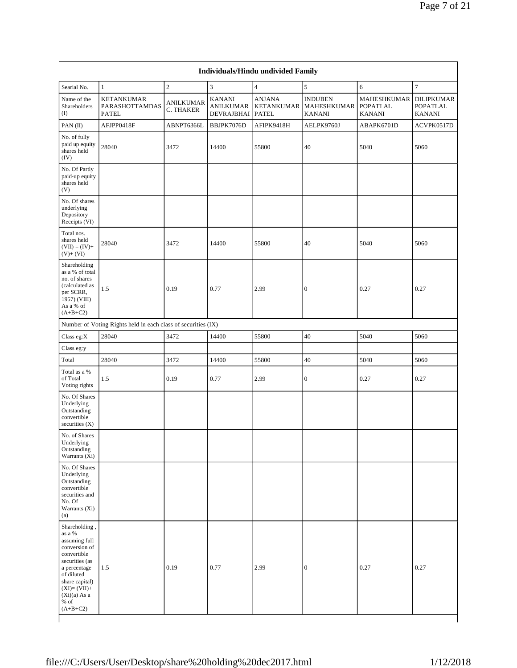| Individuals/Hindu undivided Family                                                                                                                                                                    |                                                               |                               |                                                 |                                             |                                                |                                          |                                                       |  |  |  |  |  |
|-------------------------------------------------------------------------------------------------------------------------------------------------------------------------------------------------------|---------------------------------------------------------------|-------------------------------|-------------------------------------------------|---------------------------------------------|------------------------------------------------|------------------------------------------|-------------------------------------------------------|--|--|--|--|--|
| Searial No.                                                                                                                                                                                           | $\mathbf{1}$                                                  | $\sqrt{2}$                    | $\overline{\mathbf{3}}$                         | $\overline{4}$                              | 5                                              | 6                                        | $\tau$                                                |  |  |  |  |  |
| Name of the<br>Shareholders<br>$($ I                                                                                                                                                                  | <b>KETANKUMAR</b><br>PARASHOTTAMDAS<br><b>PATEL</b>           | <b>ANILKUMAR</b><br>C. THAKER | <b>KANANI</b><br><b>ANILKUMAR</b><br>DEVRAJBHAI | <b>ANJANA</b><br>KETANKUMAR<br><b>PATEL</b> | <b>INDUBEN</b><br>MAHESHKUMAR<br><b>KANANI</b> | MAHESHKUMAR<br>POPATLAL<br><b>KANANI</b> | <b>DILIPKUMAR</b><br><b>POPATLAL</b><br><b>KANANI</b> |  |  |  |  |  |
| PAN (II)                                                                                                                                                                                              | AFJPP0418F                                                    | ABNPT6366L                    | BBJPK7076D                                      | AFIPK9418H                                  | AELPK9760J                                     | ABAPK6701D                               | ACVPK0517D                                            |  |  |  |  |  |
| No. of fully<br>paid up equity<br>shares held<br>(IV)                                                                                                                                                 | 28040                                                         | 3472                          | 14400                                           | 55800                                       | 40                                             | 5040                                     | 5060                                                  |  |  |  |  |  |
| No. Of Partly<br>paid-up equity<br>shares held<br>(V)                                                                                                                                                 |                                                               |                               |                                                 |                                             |                                                |                                          |                                                       |  |  |  |  |  |
| No. Of shares<br>underlying<br>Depository<br>Receipts (VI)                                                                                                                                            |                                                               |                               |                                                 |                                             |                                                |                                          |                                                       |  |  |  |  |  |
| Total nos.<br>shares held<br>$(VII) = (IV) +$<br>$(V)+(VI)$                                                                                                                                           | 28040                                                         | 3472                          | 14400                                           | 55800                                       | 40                                             | 5040                                     | 5060                                                  |  |  |  |  |  |
| Shareholding<br>as a % of total<br>no. of shares<br>(calculated as<br>per SCRR,<br>1957) (VIII)<br>As a % of<br>$(A+B+C2)$                                                                            | 1.5                                                           | 0.19                          | 0.77                                            | 2.99                                        | $\boldsymbol{0}$                               | 0.27                                     | 0.27                                                  |  |  |  |  |  |
|                                                                                                                                                                                                       | Number of Voting Rights held in each class of securities (IX) |                               |                                                 |                                             |                                                |                                          |                                                       |  |  |  |  |  |
| Class eg: $X$                                                                                                                                                                                         | 28040                                                         | 3472                          | 14400                                           | 55800                                       | 40                                             | 5040                                     | 5060                                                  |  |  |  |  |  |
| Class eg:y                                                                                                                                                                                            |                                                               |                               |                                                 |                                             |                                                |                                          |                                                       |  |  |  |  |  |
| Total                                                                                                                                                                                                 | 28040                                                         | 3472                          | 14400                                           | 55800                                       | 40                                             | 5040                                     | 5060                                                  |  |  |  |  |  |
| Total as a %<br>of Total<br>Voting rights                                                                                                                                                             | 1.5                                                           | 0.19                          | 0.77                                            | 2.99                                        | $\boldsymbol{0}$                               | 0.27                                     | 0.27                                                  |  |  |  |  |  |
| No. Of Shares<br>Underlying<br>Outstanding<br>convertible<br>securities $(X)$                                                                                                                         |                                                               |                               |                                                 |                                             |                                                |                                          |                                                       |  |  |  |  |  |
| No. of Shares<br>Underlying<br>Outstanding<br>Warrants (Xi)                                                                                                                                           |                                                               |                               |                                                 |                                             |                                                |                                          |                                                       |  |  |  |  |  |
| No. Of Shares<br>Underlying<br>Outstanding<br>convertible<br>securities and<br>No. Of<br>Warrants (Xi)<br>(a)                                                                                         |                                                               |                               |                                                 |                                             |                                                |                                          |                                                       |  |  |  |  |  |
| Shareholding,<br>as a %<br>assuming full<br>conversion of<br>convertible<br>securities (as<br>a percentage<br>of diluted<br>share capital)<br>$(XI)=(VII)+$<br>$(Xi)(a)$ As a<br>$%$ of<br>$(A+B+C2)$ | 1.5                                                           | 0.19                          | 0.77                                            | 2.99                                        | $\boldsymbol{0}$                               | 0.27                                     | 0.27                                                  |  |  |  |  |  |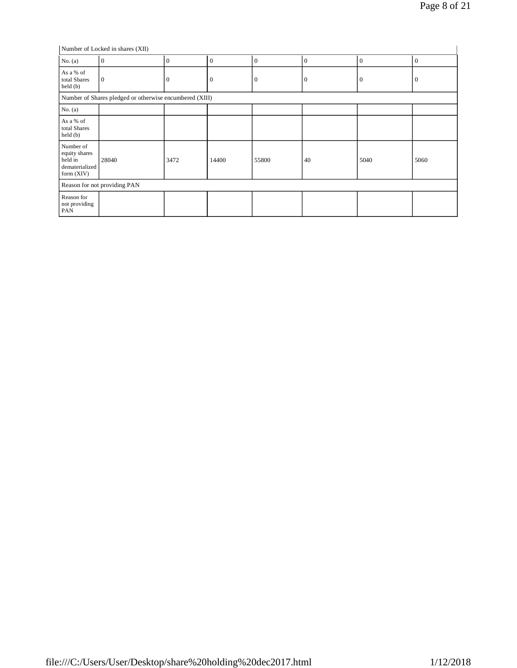Number of Locked in shares (XII)

| $\mu$ in all the contracted in strates (AII)                            |                                                         |              |              |              |                  |          |              |  |  |  |
|-------------------------------------------------------------------------|---------------------------------------------------------|--------------|--------------|--------------|------------------|----------|--------------|--|--|--|
| No. (a)                                                                 | $\mathbf{0}$                                            | $\mathbf{0}$ | $\theta$     | $\mathbf{0}$ | $\boldsymbol{0}$ | $\theta$ | $\mathbf{0}$ |  |  |  |
| As a % of<br>total Shares<br>held(b)                                    | $\mathbf{0}$                                            |              | $\mathbf{0}$ | $\Omega$     | $\mathbf{0}$     | $\theta$ | 0            |  |  |  |
|                                                                         | Number of Shares pledged or otherwise encumbered (XIII) |              |              |              |                  |          |              |  |  |  |
| No. (a)                                                                 |                                                         |              |              |              |                  |          |              |  |  |  |
| As a % of<br>total Shares<br>held(b)                                    |                                                         |              |              |              |                  |          |              |  |  |  |
| Number of<br>equity shares<br>held in<br>dematerialized<br>form $(XIV)$ | 28040                                                   | 3472         | 14400        | 55800        | 40               | 5040     | 5060         |  |  |  |
|                                                                         | Reason for not providing PAN                            |              |              |              |                  |          |              |  |  |  |
| Reason for<br>not providing<br>PAN                                      |                                                         |              |              |              |                  |          |              |  |  |  |

 $\overline{1}$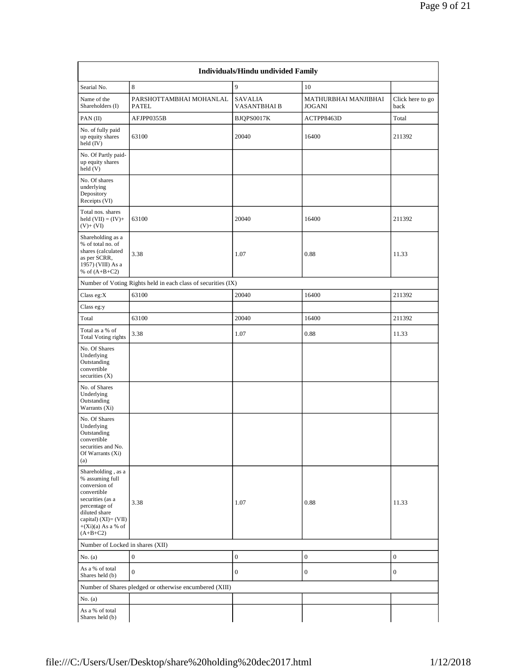|                                                                                                                                                                                              |                                                               | Individuals/Hindu undivided Family   |                                       |                          |
|----------------------------------------------------------------------------------------------------------------------------------------------------------------------------------------------|---------------------------------------------------------------|--------------------------------------|---------------------------------------|--------------------------|
| Searial No.                                                                                                                                                                                  | 8                                                             | 9                                    | 10                                    |                          |
| Name of the<br>Shareholders (I)                                                                                                                                                              | PARSHOTTAMBHAI MOHANLAL<br><b>PATEL</b>                       | <b>SAVALIA</b><br><b>VASANTBHAIB</b> | MATHURBHAI MANJIBHAI<br><b>JOGANI</b> | Click here to go<br>back |
| $PAN$ (II)                                                                                                                                                                                   | AFJPP0355B                                                    | BJQPS0017K                           | ACTPP8463D                            | Total                    |
| No. of fully paid<br>up equity shares<br>$held$ (IV)                                                                                                                                         | 63100                                                         | 20040                                | 16400                                 | 211392                   |
| No. Of Partly paid-<br>up equity shares<br>held (V)                                                                                                                                          |                                                               |                                      |                                       |                          |
| No. Of shares<br>underlying<br>Depository<br>Receipts (VI)                                                                                                                                   |                                                               |                                      |                                       |                          |
| Total nos. shares<br>held $(VII) = (IV) +$<br>$(V)$ + $(VI)$                                                                                                                                 | 63100                                                         | 20040                                | 16400                                 | 211392                   |
| Shareholding as a<br>% of total no. of<br>shares (calculated<br>as per SCRR,<br>1957) (VIII) As a<br>% of $(A+B+C2)$                                                                         | 3.38                                                          | 1.07                                 | 0.88                                  | 11.33                    |
|                                                                                                                                                                                              | Number of Voting Rights held in each class of securities (IX) |                                      |                                       |                          |
| Class eg: $X$                                                                                                                                                                                | 63100                                                         | 20040                                | 16400                                 | 211392                   |
| Class eg:y                                                                                                                                                                                   |                                                               |                                      |                                       |                          |
| Total                                                                                                                                                                                        | 63100                                                         | 20040                                | 16400                                 | 211392                   |
| Total as a % of<br><b>Total Voting rights</b>                                                                                                                                                | 3.38                                                          | 1.07                                 | 0.88                                  | 11.33                    |
| No. Of Shares<br>Underlying<br>Outstanding<br>convertible<br>securities $(X)$                                                                                                                |                                                               |                                      |                                       |                          |
| No. of Shares<br>Underlying<br>Outstanding<br>Warrants (Xi)                                                                                                                                  |                                                               |                                      |                                       |                          |
| No. Of Shares<br>Underlying<br>Outstanding<br>convertible<br>securities and No.<br>Of Warrants (Xi)<br>(a)                                                                                   |                                                               |                                      |                                       |                          |
| Shareholding, as a<br>% assuming full<br>conversion of<br>convertible<br>securities (as a<br>percentage of<br>diluted share<br>capital) $(XI) = (VII)$<br>$+(Xi)(a)$ As a % of<br>$(A+B+C2)$ | 3.38                                                          | 1.07                                 | 0.88                                  | 11.33                    |
| Number of Locked in shares (XII)                                                                                                                                                             |                                                               |                                      |                                       |                          |
| No. $(a)$                                                                                                                                                                                    | $\boldsymbol{0}$                                              | $\boldsymbol{0}$                     | $\boldsymbol{0}$                      | $\boldsymbol{0}$         |
| As a % of total<br>Shares held (b)                                                                                                                                                           | $\mathbf{0}$                                                  | $\boldsymbol{0}$                     | 0                                     | $\boldsymbol{0}$         |
|                                                                                                                                                                                              | Number of Shares pledged or otherwise encumbered (XIII)       |                                      |                                       |                          |
| No. $(a)$                                                                                                                                                                                    |                                                               |                                      |                                       |                          |
| As a % of total<br>Shares held (b)                                                                                                                                                           |                                                               |                                      |                                       |                          |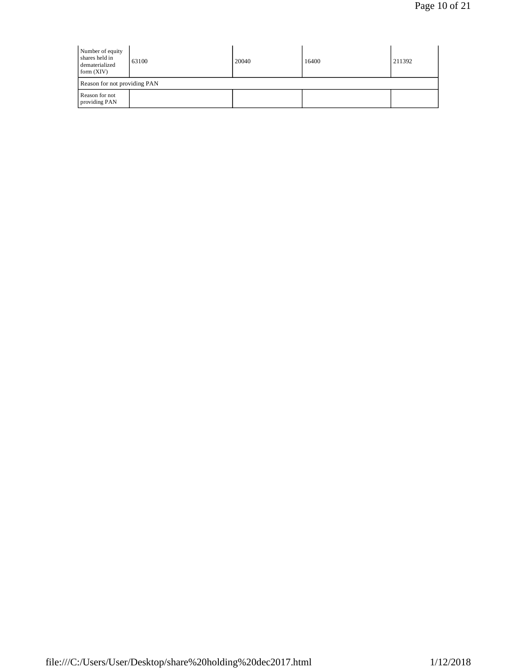| Number of equity<br>shares held in<br>dematerialized<br>form $(XIV)$ | 63100                        | 20040 | 16400 | 211392 |  |  |  |  |  |  |
|----------------------------------------------------------------------|------------------------------|-------|-------|--------|--|--|--|--|--|--|
|                                                                      | Reason for not providing PAN |       |       |        |  |  |  |  |  |  |
| Reason for not<br>providing PAN                                      |                              |       |       |        |  |  |  |  |  |  |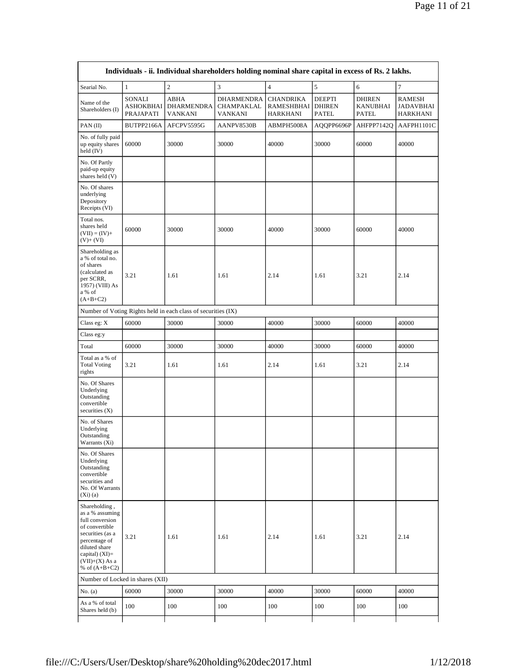| Individuals - ii. Individual shareholders holding nominal share capital in excess of Rs. 2 lakhs.                                                                                       |                                  |                                                               |                                            |                                                   |                                                |                                           |                                        |  |  |  |  |
|-----------------------------------------------------------------------------------------------------------------------------------------------------------------------------------------|----------------------------------|---------------------------------------------------------------|--------------------------------------------|---------------------------------------------------|------------------------------------------------|-------------------------------------------|----------------------------------------|--|--|--|--|
| Searial No.                                                                                                                                                                             | $1\,$                            | $\sqrt{2}$                                                    | $\overline{3}$                             | $\overline{4}$                                    | 5                                              | $\epsilon$                                | $\overline{7}$                         |  |  |  |  |
| Name of the<br>Shareholders (I)                                                                                                                                                         | SONALI<br>ASHOKBHAI<br>PRAJAPATI | <b>ABHA</b><br><b>DHARMENDRA</b><br>VANKANI                   | <b>DHARMENDRA</b><br>CHAMPAKLAL<br>VANKANI | <b>CHANDRIKA</b><br><b>RAMESHBHAI</b><br>HARKHANI | <b>DEEPTI</b><br><b>DHIREN</b><br><b>PATEL</b> | <b>DHIREN</b><br><b>KANUBHAI</b><br>PATEL | <b>RAMESH</b><br>JADAVBHAI<br>HARKHANI |  |  |  |  |
| PAN (II)                                                                                                                                                                                | BUTPP2166A                       | AFCPV5595G                                                    | AANPV8530B                                 | ABMPH5008A                                        | AQQPP6696P                                     | AHFPP7142Q                                | AAFPH1101C                             |  |  |  |  |
| No. of fully paid<br>up equity shares<br>held $(IV)$                                                                                                                                    | 60000                            | 30000                                                         | 30000                                      | 40000                                             | 30000                                          | 60000                                     | 40000                                  |  |  |  |  |
| No. Of Partly<br>paid-up equity<br>shares held (V)                                                                                                                                      |                                  |                                                               |                                            |                                                   |                                                |                                           |                                        |  |  |  |  |
| No. Of shares<br>underlying<br>Depository<br>Receipts (VI)                                                                                                                              |                                  |                                                               |                                            |                                                   |                                                |                                           |                                        |  |  |  |  |
| Total nos.<br>shares held<br>$(VII) = (IV) +$<br>$(V) + (VI)$                                                                                                                           | 60000                            | 30000                                                         | 30000                                      | 40000                                             | 30000                                          | 60000                                     | 40000                                  |  |  |  |  |
| Shareholding as<br>a % of total no.<br>of shares<br>(calculated as<br>per SCRR,<br>1957) (VIII) As<br>a % of<br>$(A+B+C2)$                                                              | 3.21                             | 1.61                                                          | 1.61                                       | 2.14                                              | 1.61                                           | 3.21                                      | 2.14                                   |  |  |  |  |
|                                                                                                                                                                                         |                                  | Number of Voting Rights held in each class of securities (IX) |                                            |                                                   |                                                |                                           |                                        |  |  |  |  |
| Class eg: X                                                                                                                                                                             | 60000                            | 30000                                                         | 30000                                      | 40000                                             | 30000                                          | 60000                                     | 40000                                  |  |  |  |  |
| Class eg:y                                                                                                                                                                              |                                  |                                                               |                                            |                                                   |                                                |                                           |                                        |  |  |  |  |
| Total                                                                                                                                                                                   | 60000                            | 30000                                                         | 30000                                      | 40000                                             | 30000                                          | 60000                                     | 40000                                  |  |  |  |  |
| Total as a % of<br><b>Total Voting</b><br>rights                                                                                                                                        | 3.21                             | 1.61                                                          | 1.61                                       | 2.14                                              | 1.61                                           | 3.21                                      | 2.14                                   |  |  |  |  |
| No. Of Shares<br>Underlying<br>Outstanding<br>convertible<br>securities $(X)$                                                                                                           |                                  |                                                               |                                            |                                                   |                                                |                                           |                                        |  |  |  |  |
| No. of Shares<br>Underlying<br>Outstanding<br>Warrants (Xi)                                                                                                                             |                                  |                                                               |                                            |                                                   |                                                |                                           |                                        |  |  |  |  |
| No. Of Shares<br>Underlying<br>Outstanding<br>convertible<br>securities and<br>No. Of Warrants<br>(Xi)(a)                                                                               |                                  |                                                               |                                            |                                                   |                                                |                                           |                                        |  |  |  |  |
| Shareholding,<br>as a % assuming<br>full conversion<br>of convertible<br>securities (as a<br>percentage of<br>diluted share<br>capital) $(XI)$ =<br>$(VII)+(X)$ As a<br>% of $(A+B+C2)$ | 3.21                             | 1.61                                                          | 1.61                                       | 2.14                                              | 1.61                                           | 3.21                                      | 2.14                                   |  |  |  |  |
| Number of Locked in shares (XII)                                                                                                                                                        |                                  |                                                               |                                            |                                                   |                                                |                                           |                                        |  |  |  |  |
| No. (a)                                                                                                                                                                                 | 60000                            | 30000                                                         | 30000                                      | 40000                                             | 30000                                          | 60000                                     | 40000                                  |  |  |  |  |
| As a % of total<br>Shares held (b)                                                                                                                                                      | 100                              | 100                                                           | 100                                        | 100                                               | 100                                            | 100                                       | 100                                    |  |  |  |  |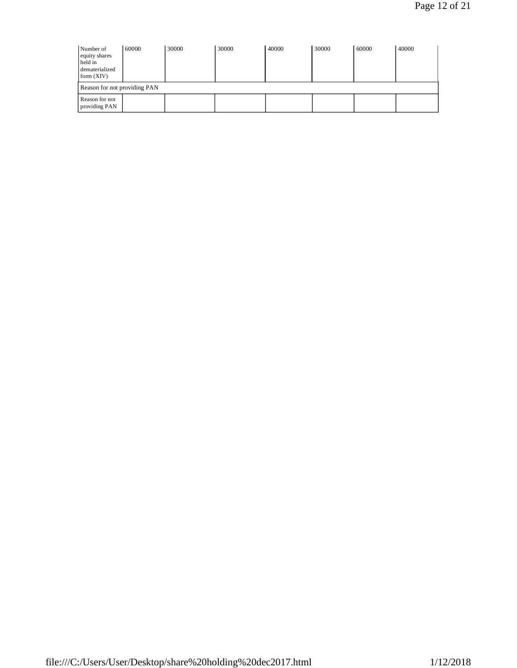| Number of<br>equity shares<br>held in<br>dematerialized<br>form (XIV) | 60000 | 30000 | 30000 | 40000 | 30000 | 60000 | 40000 |  |  |  |
|-----------------------------------------------------------------------|-------|-------|-------|-------|-------|-------|-------|--|--|--|
| Reason for not providing PAN                                          |       |       |       |       |       |       |       |  |  |  |
| Reason for not<br>providing PAN                                       |       |       |       |       |       |       |       |  |  |  |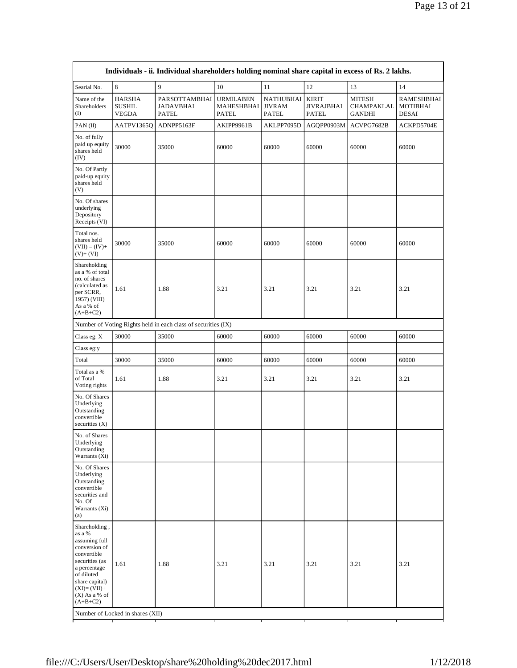| Individuals - ii. Individual shareholders holding nominal share capital in excess of Rs. 2 lakhs.                                                                                            |                                         |                                                               |                                                |                                            |                                                   |                                                     |                                        |
|----------------------------------------------------------------------------------------------------------------------------------------------------------------------------------------------|-----------------------------------------|---------------------------------------------------------------|------------------------------------------------|--------------------------------------------|---------------------------------------------------|-----------------------------------------------------|----------------------------------------|
| Searial No.                                                                                                                                                                                  | 8                                       | 9                                                             | 10                                             | 11                                         | 12                                                | 13                                                  | 14                                     |
| Name of the<br>Shareholders<br>(I)                                                                                                                                                           | HARSHA<br><b>SUSHIL</b><br><b>VEGDA</b> | PARSOTTAMBHAI<br><b>JADAVBHAI</b><br>PATEL                    | <b>URMILABEN</b><br>MAHESHBHAI<br><b>PATEL</b> | NATHUBHAI<br><b>JIVRAM</b><br><b>PATEL</b> | <b>KIRIT</b><br><b>JIVRAJBHAI</b><br><b>PATEL</b> | <b>MITESH</b><br><b>CHAMPAKLAL</b><br><b>GANDHI</b> | RAMESHBHAI<br>MOTIBHAI<br><b>DESAI</b> |
| PAN(II)                                                                                                                                                                                      | AATPV1365Q                              | ADNPP5163F                                                    | AKIPP9961B                                     | AKLPP7095D                                 | AGQPP0903M                                        | ACVPG7682B                                          | ACKPD5704E                             |
| No. of fully<br>paid up equity<br>shares held<br>(IV)                                                                                                                                        | 30000                                   | 35000                                                         | 60000                                          | 60000                                      | 60000                                             | 60000                                               | 60000                                  |
| No. Of Partly<br>paid-up equity<br>shares held<br>(V)                                                                                                                                        |                                         |                                                               |                                                |                                            |                                                   |                                                     |                                        |
| No. Of shares<br>underlying<br>Depository<br>Receipts (VI)                                                                                                                                   |                                         |                                                               |                                                |                                            |                                                   |                                                     |                                        |
| Total nos.<br>shares held<br>$(VII) = (IV) +$<br>$(V)+(VI)$                                                                                                                                  | 30000                                   | 35000                                                         | 60000                                          | 60000                                      | 60000                                             | 60000                                               | 60000                                  |
| Shareholding<br>as a % of total<br>no. of shares<br>(calculated as<br>per SCRR,<br>1957) (VIII)<br>As a % of<br>$(A+B+C2)$                                                                   | 1.61                                    | 1.88                                                          | 3.21                                           | 3.21                                       | 3.21                                              | 3.21                                                | 3.21                                   |
|                                                                                                                                                                                              |                                         | Number of Voting Rights held in each class of securities (IX) |                                                |                                            |                                                   |                                                     |                                        |
| Class eg: X                                                                                                                                                                                  | 30000                                   | 35000                                                         | 60000                                          | 60000                                      | 60000                                             | 60000                                               | 60000                                  |
| Class eg:y                                                                                                                                                                                   |                                         |                                                               |                                                |                                            |                                                   |                                                     |                                        |
| Total                                                                                                                                                                                        | 30000                                   | 35000                                                         | 60000                                          | 60000                                      | 60000                                             | 60000                                               | 60000                                  |
| Total as a %<br>of Total<br>Voting rights                                                                                                                                                    | 1.61                                    | 1.88                                                          | 3.21                                           | 3.21                                       | 3.21                                              | 3.21                                                | 3.21                                   |
| No. Of Shares<br>Underlying<br>Outstanding<br>convertible<br>securities $(X)$                                                                                                                |                                         |                                                               |                                                |                                            |                                                   |                                                     |                                        |
| No. of Shares<br>Underlying<br>Outstanding<br>Warrants (Xi)                                                                                                                                  |                                         |                                                               |                                                |                                            |                                                   |                                                     |                                        |
| No. Of Shares<br>Underlying<br>Outstanding<br>convertible<br>securities and<br>No. Of<br>Warrants (Xi)<br>(a)                                                                                |                                         |                                                               |                                                |                                            |                                                   |                                                     |                                        |
| Shareholding,<br>as a %<br>assuming full<br>conversion of<br>convertible<br>securities (as<br>a percentage<br>of diluted<br>share capital)<br>$(XI)=(VII)+$<br>$(X)$ As a % of<br>$(A+B+C2)$ | 1.61                                    | 1.88                                                          | 3.21                                           | 3.21                                       | 3.21                                              | 3.21                                                | 3.21                                   |
| Number of Locked in shares (XII)                                                                                                                                                             |                                         |                                                               |                                                |                                            |                                                   |                                                     |                                        |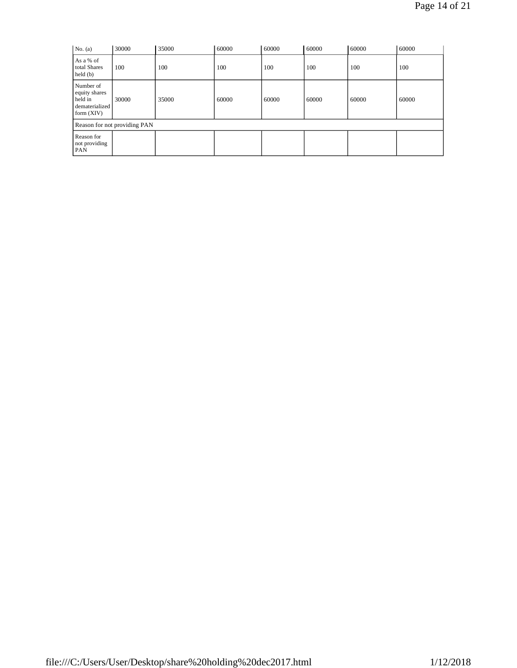| No. (a)                                                                 | 30000 | 35000 | 60000 | 60000 | 60000 | 60000 | 60000 |
|-------------------------------------------------------------------------|-------|-------|-------|-------|-------|-------|-------|
| As a % of<br>total Shares<br>held(b)                                    | 100   | 100   | 100   | 100   | 100   | 100   | 100   |
| Number of<br>equity shares<br>held in<br>dematerialized<br>form $(XIV)$ | 30000 | 35000 | 60000 | 60000 | 60000 | 60000 | 60000 |
| <b>Reason for not providing PAN</b>                                     |       |       |       |       |       |       |       |
| Reason for<br>not providing<br><b>PAN</b>                               |       |       |       |       |       |       |       |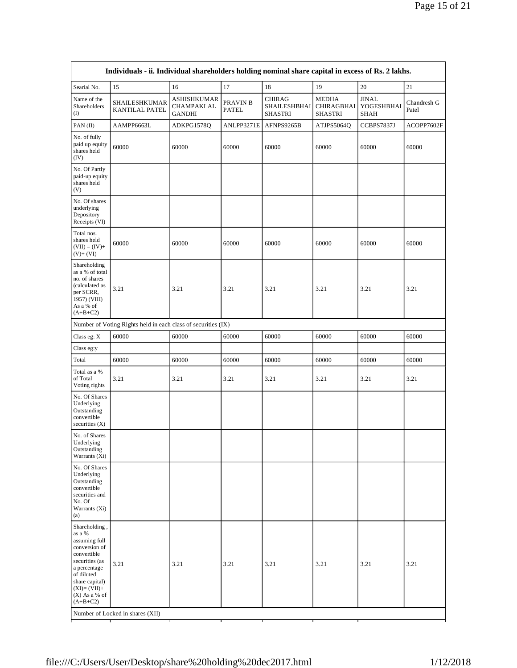| Individuals - ii. Individual shareholders holding nominal share capital in excess of Rs. 2 lakhs.                                                                                            |                                                               |                                            |                   |                                                        |                                              |                                    |                      |
|----------------------------------------------------------------------------------------------------------------------------------------------------------------------------------------------|---------------------------------------------------------------|--------------------------------------------|-------------------|--------------------------------------------------------|----------------------------------------------|------------------------------------|----------------------|
| Searial No.                                                                                                                                                                                  | 15                                                            | 16                                         | 17                | 18                                                     | 19                                           | 20                                 | 21                   |
| Name of the<br>Shareholders<br>$\rm (I)$                                                                                                                                                     | SHAILESHKUMAR<br>KANTILAL PATEL                               | ASHISHKUMAR<br>CHAMPAKLAL<br><b>GANDHI</b> | PRAVIN B<br>PATEL | <b>CHIRAG</b><br><b>SHAILESHBHAI</b><br><b>SHASTRI</b> | <b>MEDHA</b><br><b>CHIRAGBHAI</b><br>SHASTRI | <b>JINAL</b><br>YOGESHBHAI<br>SHAH | Chandresh G<br>Patel |
| PAN(II)                                                                                                                                                                                      | AAMPP6663L                                                    | ADKPG1578Q                                 | ANLPP3271E        | AFNPS9265B                                             | ATJPS5064Q                                   | CCBPS7837J                         | ACOPP7602F           |
| No. of fully<br>paid up equity<br>shares held<br>(IV)                                                                                                                                        | 60000                                                         | 60000                                      | 60000             | 60000                                                  | 60000                                        | 60000                              | 60000                |
| No. Of Partly<br>paid-up equity<br>shares held<br>(V)                                                                                                                                        |                                                               |                                            |                   |                                                        |                                              |                                    |                      |
| No. Of shares<br>underlying<br>Depository<br>Receipts (VI)                                                                                                                                   |                                                               |                                            |                   |                                                        |                                              |                                    |                      |
| Total nos.<br>shares held<br>$(VII) = (IV) +$<br>$(V)+(VI)$                                                                                                                                  | 60000                                                         | 60000                                      | 60000             | 60000                                                  | 60000                                        | 60000                              | 60000                |
| Shareholding<br>as a % of total<br>no. of shares<br>(calculated as<br>per SCRR,<br>1957) (VIII)<br>As a % of<br>$(A+B+C2)$                                                                   | 3.21                                                          | 3.21                                       | 3.21              | 3.21                                                   | 3.21                                         | 3.21                               | 3.21                 |
|                                                                                                                                                                                              | Number of Voting Rights held in each class of securities (IX) |                                            |                   |                                                        |                                              |                                    |                      |
| Class eg: X                                                                                                                                                                                  | 60000                                                         | 60000                                      | 60000             | 60000                                                  | 60000                                        | 60000                              | 60000                |
| Class eg:y                                                                                                                                                                                   |                                                               |                                            |                   |                                                        |                                              |                                    |                      |
| Total                                                                                                                                                                                        | 60000                                                         | 60000                                      | 60000             | 60000                                                  | 60000                                        | 60000                              | 60000                |
| Total as a %<br>of Total<br>Voting rights                                                                                                                                                    | 3.21                                                          | 3.21                                       | 3.21              | 3.21                                                   | 3.21                                         | 3.21                               | 3.21                 |
| No. Of Shares<br>Underlying<br>Outstanding<br>convertible<br>securities $(X)$                                                                                                                |                                                               |                                            |                   |                                                        |                                              |                                    |                      |
| No. of Shares<br>Underlying<br>Outstanding<br>Warrants (Xi)                                                                                                                                  |                                                               |                                            |                   |                                                        |                                              |                                    |                      |
| No. Of Shares<br>Underlying<br>Outstanding<br>convertible<br>securities and<br>No. Of<br>Warrants (Xi)<br>(a)                                                                                |                                                               |                                            |                   |                                                        |                                              |                                    |                      |
| Shareholding,<br>as a %<br>assuming full<br>conversion of<br>convertible<br>securities (as<br>a percentage<br>of diluted<br>share capital)<br>$(XI)=(VII)+$<br>$(X)$ As a % of<br>$(A+B+C2)$ | 3.21<br>Number of Locked in shares (XII)                      | 3.21                                       | 3.21              | 3.21                                                   | 3.21                                         | 3.21                               | 3.21                 |
| т<br>Т<br>Т                                                                                                                                                                                  |                                                               |                                            |                   |                                                        |                                              |                                    |                      |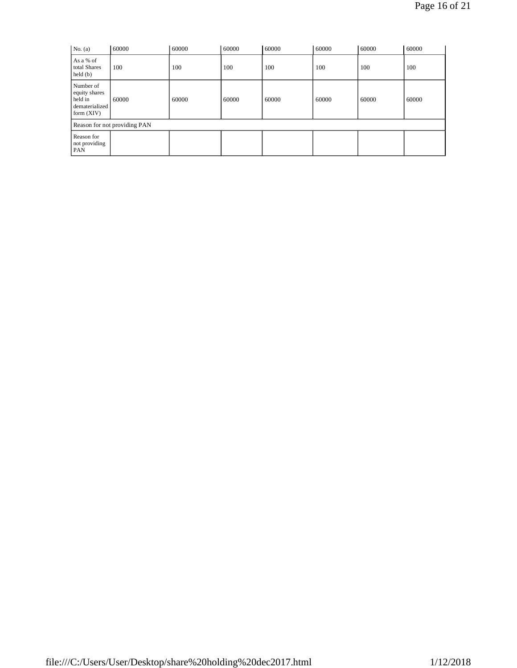| No. (a)                                                                 | 60000 | 60000 | 60000 | 60000 | 60000 | 60000 | 60000 |
|-------------------------------------------------------------------------|-------|-------|-------|-------|-------|-------|-------|
| As a % of<br>total Shares<br>$\text{held}(\text{b})$                    | 100   | 100   | 100   | 100   | 100   | 100   | 100   |
| Number of<br>equity shares<br>held in<br>dematerialized<br>form $(XIV)$ | 60000 | 60000 | 60000 | 60000 | 60000 | 60000 | 60000 |
| Reason for not providing PAN                                            |       |       |       |       |       |       |       |
| Reason for<br>not providing<br><b>PAN</b>                               |       |       |       |       |       |       |       |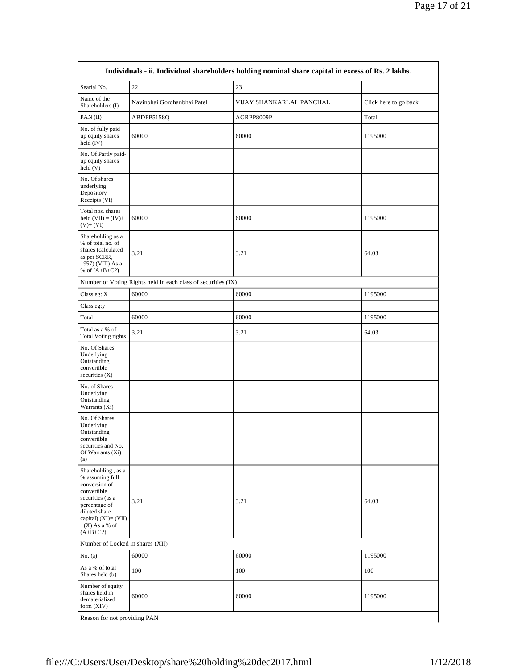| Individuals - ii. Individual shareholders holding nominal share capital in excess of Rs. 2 lakhs.                                                                                        |                                                               |                          |                       |  |  |
|------------------------------------------------------------------------------------------------------------------------------------------------------------------------------------------|---------------------------------------------------------------|--------------------------|-----------------------|--|--|
| Searial No.                                                                                                                                                                              | 22                                                            | 23                       |                       |  |  |
| Name of the<br>Shareholders (I)                                                                                                                                                          | Navinbhai Gordhanbhai Patel                                   | VIJAY SHANKARLAL PANCHAL | Click here to go back |  |  |
| PAN(II)                                                                                                                                                                                  | ABDPP5158Q                                                    | AGRPP8009P               | Total                 |  |  |
| No. of fully paid<br>up equity shares<br>held $(IV)$                                                                                                                                     | 60000                                                         | 60000                    | 1195000               |  |  |
| No. Of Partly paid-<br>up equity shares<br>$\text{held}$ (V)                                                                                                                             |                                                               |                          |                       |  |  |
| No. Of shares<br>underlying<br>Depository<br>Receipts (VI)                                                                                                                               |                                                               |                          |                       |  |  |
| Total nos. shares<br>held $(VII) = (IV) +$<br>$(V)+(VI)$                                                                                                                                 | 60000                                                         | 60000                    | 1195000               |  |  |
| Shareholding as a<br>% of total no. of<br>shares (calculated<br>as per SCRR,<br>1957) (VIII) As a<br>% of $(A+B+C2)$                                                                     | 3.21                                                          | 3.21                     | 64.03                 |  |  |
|                                                                                                                                                                                          | Number of Voting Rights held in each class of securities (IX) |                          |                       |  |  |
| Class eg: $X$                                                                                                                                                                            | 60000                                                         | 60000                    | 1195000               |  |  |
| Class eg:y                                                                                                                                                                               |                                                               |                          |                       |  |  |
| Total                                                                                                                                                                                    | 60000                                                         | 60000                    | 1195000               |  |  |
| Total as a % of<br>Total Voting rights                                                                                                                                                   | 3.21                                                          | 3.21                     | 64.03                 |  |  |
| No. Of Shares<br>Underlying<br>Outstanding<br>convertible<br>securities $(X)$                                                                                                            |                                                               |                          |                       |  |  |
| No. of Shares<br>Underlying<br>Outstanding<br>Warrants (Xi)                                                                                                                              |                                                               |                          |                       |  |  |
| No. Of Shares<br>Underlying<br>Outstanding<br>convertible<br>securities and No.<br>Of Warrants (Xi)<br>(a)                                                                               |                                                               |                          |                       |  |  |
| Shareholding, as a<br>% assuming full<br>conversion of<br>convertible<br>securities (as a<br>percentage of<br>diluted share<br>capital) $(XI) = (VII)$<br>$+(X)$ As a % of<br>$(A+B+C2)$ | 3.21                                                          | 3.21                     | 64.03                 |  |  |
| Number of Locked in shares (XII)                                                                                                                                                         |                                                               |                          |                       |  |  |
| No. $(a)$                                                                                                                                                                                | 60000                                                         | 60000                    | 1195000               |  |  |
| As a % of total<br>Shares held (b)                                                                                                                                                       | 100                                                           | 100                      | 100                   |  |  |
| Number of equity<br>shares held in<br>dematerialized<br>form (XIV)                                                                                                                       | 60000                                                         | 60000                    | 1195000               |  |  |
| Reason for not providing PAN                                                                                                                                                             |                                                               |                          |                       |  |  |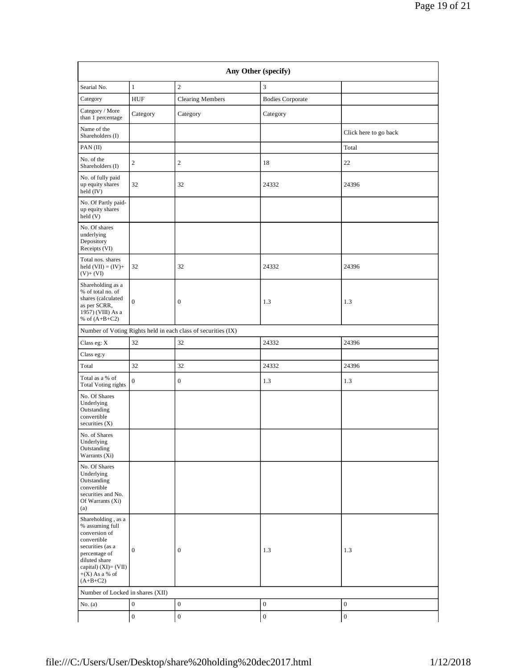| Any Other (specify)                                                                                                                                                                      |                  |                                                               |                         |                       |  |  |
|------------------------------------------------------------------------------------------------------------------------------------------------------------------------------------------|------------------|---------------------------------------------------------------|-------------------------|-----------------------|--|--|
| Searial No.                                                                                                                                                                              | $\mathbf{1}$     | $\overline{c}$                                                | 3                       |                       |  |  |
| Category                                                                                                                                                                                 | <b>HUF</b>       | <b>Clearing Members</b>                                       | <b>Bodies Corporate</b> |                       |  |  |
| Category / More<br>than 1 percentage                                                                                                                                                     | Category         | Category                                                      | Category                |                       |  |  |
| Name of the<br>Shareholders (I)                                                                                                                                                          |                  |                                                               |                         | Click here to go back |  |  |
| PAN(II)                                                                                                                                                                                  |                  |                                                               |                         | Total                 |  |  |
| No. of the<br>Shareholders (I)                                                                                                                                                           | $\overline{c}$   | $\mathbf{2}$                                                  | 18                      | 22                    |  |  |
| No. of fully paid<br>up equity shares<br>held (IV)                                                                                                                                       | 32               | 32                                                            | 24332                   | 24396                 |  |  |
| No. Of Partly paid-<br>up equity shares<br>held (V)                                                                                                                                      |                  |                                                               |                         |                       |  |  |
| No. Of shares<br>underlying<br>Depository<br>Receipts (VI)                                                                                                                               |                  |                                                               |                         |                       |  |  |
| Total nos. shares<br>held $(VII) = (IV) +$<br>$(V) + (VI)$                                                                                                                               | 32               | 32                                                            | 24332                   | 24396                 |  |  |
| Shareholding as a<br>% of total no. of<br>shares (calculated<br>as per SCRR,<br>1957) (VIII) As a<br>% of $(A+B+C2)$                                                                     | $\mathbf{0}$     | $\mathbf{0}$                                                  | 1.3                     | 1.3                   |  |  |
|                                                                                                                                                                                          |                  | Number of Voting Rights held in each class of securities (IX) |                         |                       |  |  |
| Class eg: X                                                                                                                                                                              | 32               | 32                                                            | 24332                   | 24396                 |  |  |
| Class eg:y                                                                                                                                                                               |                  |                                                               |                         |                       |  |  |
| Total                                                                                                                                                                                    | 32               | 32                                                            | 24332                   | 24396                 |  |  |
| Total as a % of<br><b>Total Voting rights</b>                                                                                                                                            | $\boldsymbol{0}$ | $\mathbf{0}$                                                  | 1.3                     | 1.3                   |  |  |
| No. Of Shares<br>Underlying<br>Outstanding<br>convertible<br>securities $(X)$                                                                                                            |                  |                                                               |                         |                       |  |  |
| No. of Shares<br>Underlying<br>Outstanding<br>Warrants (Xi)                                                                                                                              |                  |                                                               |                         |                       |  |  |
| No. Of Shares<br>Underlying<br>Outstanding<br>convertible<br>securities and No.<br>Of Warrants (Xi)<br>(a)                                                                               |                  |                                                               |                         |                       |  |  |
| Shareholding, as a<br>% assuming full<br>conversion of<br>convertible<br>securities (as a<br>percentage of<br>diluted share<br>capital) $(XI) = (VII)$<br>$+(X)$ As a % of<br>$(A+B+C2)$ | $\mathbf{0}$     | $\mathbf{0}$                                                  | 1.3                     | 1.3                   |  |  |
| Number of Locked in shares (XII)                                                                                                                                                         |                  |                                                               |                         |                       |  |  |
| No. $(a)$                                                                                                                                                                                | $\boldsymbol{0}$ | $\boldsymbol{0}$                                              | $\boldsymbol{0}$        | $\boldsymbol{0}$      |  |  |
|                                                                                                                                                                                          | $\boldsymbol{0}$ | $\mathbf{0}$                                                  | $\boldsymbol{0}$        | $\boldsymbol{0}$      |  |  |